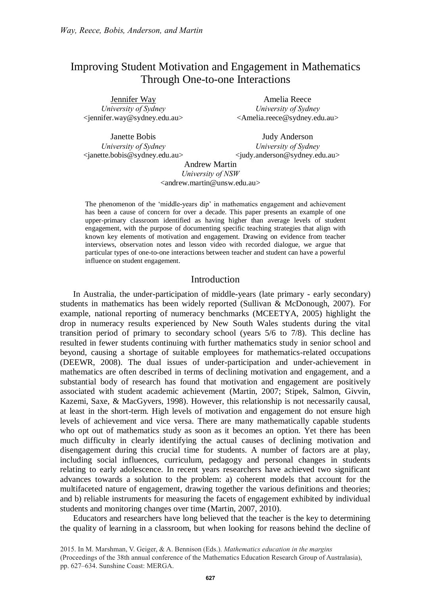# Improving Student Motivation and Engagement in Mathematics Through One-to-one Interactions

Jennifer Way *University of Sydney* <jennifer.way@sydney.edu.au>

Janette Bobis *University of Sydney* <janette.bobis@sydney.edu.au>

Amelia Reece *University of Sydney* <Amelia.reece@sydney.edu.au>

Judy Anderson *University of Sydney* <judy.anderson@sydney.edu.au>

Andrew Martin *University of NSW* <andrew.martin@unsw.edu.au>

The phenomenon of the 'middle-years dip' in mathematics engagement and achievement has been a cause of concern for over a decade. This paper presents an example of one upper-primary classroom identified as having higher than average levels of student engagement, with the purpose of documenting specific teaching strategies that align with known key elements of motivation and engagement. Drawing on evidence from teacher interviews, observation notes and lesson video with recorded dialogue, we argue that particular types of one-to-one interactions between teacher and student can have a powerful influence on student engagement.

# Introduction

In Australia, the under-participation of middle-years (late primary - early secondary) students in mathematics has been widely reported (Sullivan & McDonough, 2007). For example, national reporting of numeracy benchmarks (MCEETYA, 2005) highlight the drop in numeracy results experienced by New South Wales students during the vital transition period of primary to secondary school (years 5/6 to 7/8). This decline has resulted in fewer students continuing with further mathematics study in senior school and beyond, causing a shortage of suitable employees for mathematics-related occupations (DEEWR, 2008). The dual issues of under-participation and under-achievement in mathematics are often described in terms of declining motivation and engagement, and a substantial body of research has found that motivation and engagement are positively associated with student academic achievement (Martin, 2007; Stipek, Salmon, Givvin, Kazemi, Saxe, & MacGyvers, 1998). However, this relationship is not necessarily causal, at least in the short-term. High levels of motivation and engagement do not ensure high levels of achievement and vice versa. There are many mathematically capable students who opt out of mathematics study as soon as it becomes an option. Yet there has been much difficulty in clearly identifying the actual causes of declining motivation and disengagement during this crucial time for students. A number of factors are at play, including social influences, curriculum, pedagogy and personal changes in students relating to early adolescence. In recent years researchers have achieved two significant advances towards a solution to the problem: a) coherent models that account for the multifaceted nature of engagement, drawing together the various definitions and theories; and b) reliable instruments for measuring the facets of engagement exhibited by individual students and monitoring changes over time (Martin, 2007, 2010).

Educators and researchers have long believed that the teacher is the key to determining the quality of learning in a classroom, but when looking for reasons behind the decline of

<sup>2015.</sup> In M. Marshman, V. Geiger, & A. Bennison (Eds.). *Mathematics education in the margins* (Proceedings of the 38th annual conference of the Mathematics Education Research Group of Australasia), pp. 627–634. Sunshine Coast: MERGA.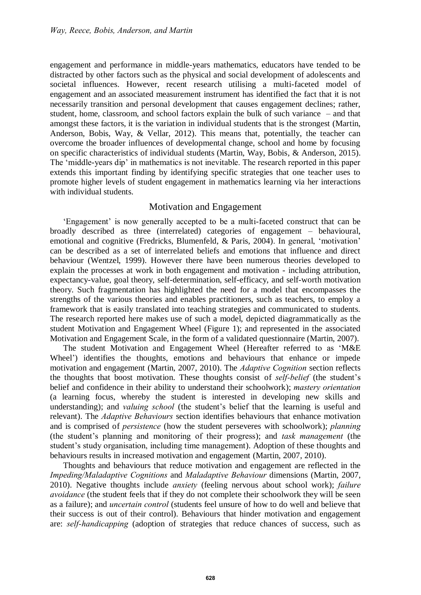engagement and performance in middle-years mathematics, educators have tended to be distracted by other factors such as the physical and social development of adolescents and societal influences. However, recent research utilising a multi-faceted model of engagement and an associated measurement instrument has identified the fact that it is not necessarily transition and personal development that causes engagement declines; rather, student, home, classroom, and school factors explain the bulk of such variance – and that amongst these factors, it is the variation in individual students that is the strongest (Martin, Anderson, Bobis, Way, & Vellar, 2012). This means that, potentially, the teacher can overcome the broader influences of developmental change, school and home by focusing on specific characteristics of individual students (Martin, Way, Bobis, & Anderson, 2015). The 'middle-years dip' in mathematics is not inevitable. The research reported in this paper extends this important finding by identifying specific strategies that one teacher uses to promote higher levels of student engagement in mathematics learning via her interactions with individual students.

# Motivation and Engagement

'Engagement' is now generally accepted to be a multi-faceted construct that can be broadly described as three (interrelated) categories of engagement – behavioural, emotional and cognitive (Fredricks, Blumenfeld, & Paris, 2004). In general, 'motivation' can be described as a set of interrelated beliefs and emotions that influence and direct behaviour (Wentzel, 1999). However there have been numerous theories developed to explain the processes at work in both engagement and motivation - including attribution, expectancy-value, goal theory, self-determination, self-efficacy, and self-worth motivation theory. Such fragmentation has highlighted the need for a model that encompasses the strengths of the various theories and enables practitioners, such as teachers, to employ a framework that is easily translated into teaching strategies and communicated to students. The research reported here makes use of such a model, depicted diagrammatically as the student Motivation and Engagement Wheel (Figure 1); and represented in the associated Motivation and Engagement Scale, in the form of a validated questionnaire (Martin, 2007).

The student Motivation and Engagement Wheel (Hereafter referred to as 'M&E Wheel') identifies the thoughts, emotions and behaviours that enhance or impede motivation and engagement (Martin, 2007, 2010). The *Adaptive Cognition* section reflects the thoughts that boost motivation. These thoughts consist of *self-belief* (the student's belief and confidence in their ability to understand their schoolwork); *mastery orientation* (a learning focus, whereby the student is interested in developing new skills and understanding); and *valuing school* (the student's belief that the learning is useful and relevant). The *Adaptive Behaviours* section identifies behaviours that enhance motivation and is comprised of *persistence* (how the student perseveres with schoolwork); *planning* (the student's planning and monitoring of their progress); and *task management* (the student's study organisation, including time management). Adoption of these thoughts and behaviours results in increased motivation and engagement (Martin, 2007, 2010).

Thoughts and behaviours that reduce motivation and engagement are reflected in the *Impeding/Maladaptive Cognitions* and *Maladaptive Behaviour* dimensions (Martin, 2007, 2010). Negative thoughts include *anxiety* (feeling nervous about school work); *failure avoidance* (the student feels that if they do not complete their schoolwork they will be seen as a failure); and *uncertain control* (students feel unsure of how to do well and believe that their success is out of their control). Behaviours that hinder motivation and engagement are: *self-handicapping* (adoption of strategies that reduce chances of success, such as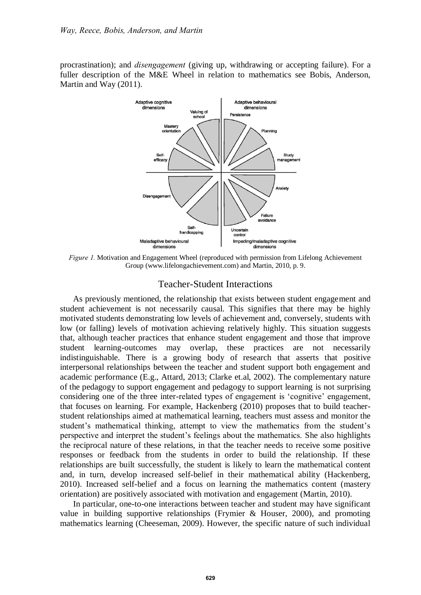procrastination); and *disengagement* (giving up, withdrawing or accepting failure). For a fuller description of the M&E Wheel in relation to mathematics see Bobis, Anderson, Martin and Way (2011).



*Figure 1.* Motivation and Engagement Wheel (reproduced with permission from Lifelong Achievement Group (www.lifelongachievement.com) and Martin, 2010, p. 9.

# Teacher-Student Interactions

As previously mentioned, the relationship that exists between student engagement and student achievement is not necessarily causal. This signifies that there may be highly motivated students demonstrating low levels of achievement and, conversely, students with low (or falling) levels of motivation achieving relatively highly. This situation suggests that, although teacher practices that enhance student engagement and those that improve student learning-outcomes may overlap, these practices are not necessarily indistinguishable. There is a growing body of research that asserts that positive interpersonal relationships between the teacher and student support both engagement and academic performance (E.g., Attard, 2013; Clarke et.al, 2002). The complementary nature of the pedagogy to support engagement and pedagogy to support learning is not surprising considering one of the three inter-related types of engagement is 'cognitive' engagement, that focuses on learning. For example, Hackenberg (2010) proposes that to build teacherstudent relationships aimed at mathematical learning, teachers must assess and monitor the student's mathematical thinking, attempt to view the mathematics from the student's perspective and interpret the student's feelings about the mathematics. She also highlights the reciprocal nature of these relations, in that the teacher needs to receive some positive responses or feedback from the students in order to build the relationship. If these relationships are built successfully, the student is likely to learn the mathematical content and, in turn, develop increased self-belief in their mathematical ability (Hackenberg, 2010). Increased self-belief and a focus on learning the mathematics content (mastery orientation) are positively associated with motivation and engagement (Martin, 2010).

In particular, one-to-one interactions between teacher and student may have significant value in building supportive relationships (Frymier & Houser, 2000), and promoting mathematics learning (Cheeseman, 2009). However, the specific nature of such individual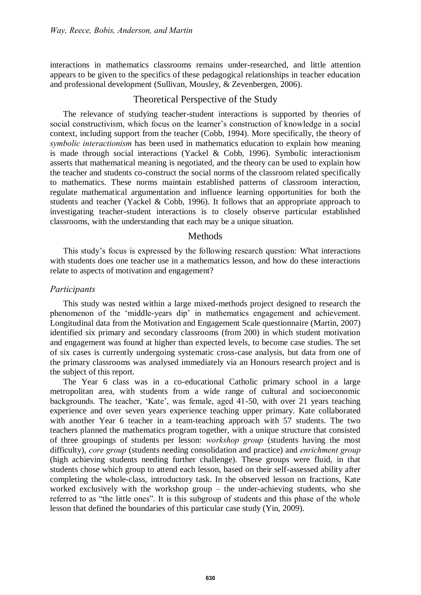interactions in mathematics classrooms remains under-researched, and little attention appears to be given to the specifics of these pedagogical relationships in teacher education and professional development (Sullivan, Mousley, & Zevenbergen, 2006).

# Theoretical Perspective of the Study

The relevance of studying teacher-student interactions is supported by theories of social constructivism, which focus on the learner's construction of knowledge in a social context, including support from the teacher (Cobb, 1994). More specifically, the theory of *symbolic interactionism* has been used in mathematics education to explain how meaning is made through social interactions (Yackel & Cobb, 1996). Symbolic interactionism asserts that mathematical meaning is negotiated, and the theory can be used to explain how the teacher and students co-construct the social norms of the classroom related specifically to mathematics. These norms maintain established patterns of classroom interaction, regulate mathematical argumentation and influence learning opportunities for both the students and teacher (Yackel & Cobb, 1996). It follows that an appropriate approach to investigating teacher-student interactions is to closely observe particular established classrooms, with the understanding that each may be a unique situation.

## Methods

This study's focus is expressed by the following research question: What interactions with students does one teacher use in a mathematics lesson, and how do these interactions relate to aspects of motivation and engagement?

## *Participants*

This study was nested within a large mixed-methods project designed to research the phenomenon of the 'middle-years dip' in mathematics engagement and achievement. Longitudinal data from the Motivation and Engagement Scale questionnaire (Martin, 2007) identified six primary and secondary classrooms (from 200) in which student motivation and engagement was found at higher than expected levels, to become case studies. The set of six cases is currently undergoing systematic cross-case analysis, but data from one of the primary classrooms was analysed immediately via an Honours research project and is the subject of this report.

The Year 6 class was in a co-educational Catholic primary school in a large metropolitan area, with students from a wide range of cultural and socioeconomic backgrounds. The teacher, 'Kate', was female, aged 41-50, with over 21 years teaching experience and over seven years experience teaching upper primary. Kate collaborated with another Year 6 teacher in a team-teaching approach with 57 students. The two teachers planned the mathematics program together, with a unique structure that consisted of three groupings of students per lesson: *workshop group* (students having the most difficulty), *core group* (students needing consolidation and practice) and *enrichment group* (high achieving students needing further challenge). These groups were fluid, in that students chose which group to attend each lesson, based on their self-assessed ability after completing the whole-class, introductory task. In the observed lesson on fractions, Kate worked exclusively with the workshop group – the under-achieving students, who she referred to as "the little ones". It is this subgroup of students and this phase of the whole lesson that defined the boundaries of this particular case study (Yin, 2009).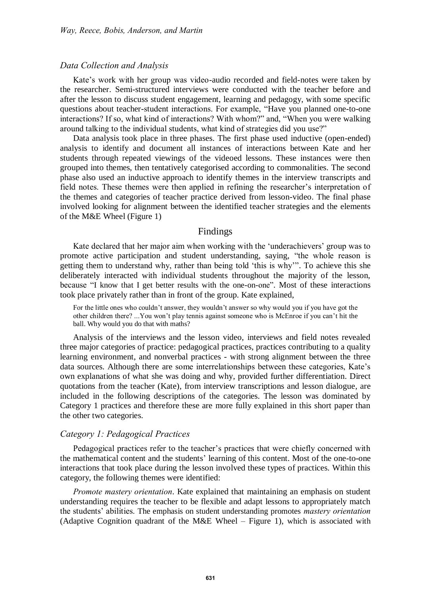#### *Data Collection and Analysis*

Kate's work with her group was video-audio recorded and field-notes were taken by the researcher. Semi-structured interviews were conducted with the teacher before and after the lesson to discuss student engagement, learning and pedagogy, with some specific questions about teacher-student interactions. For example, "Have you planned one-to-one interactions? If so, what kind of interactions? With whom?" and, "When you were walking around talking to the individual students, what kind of strategies did you use?"

Data analysis took place in three phases. The first phase used inductive (open-ended) analysis to identify and document all instances of interactions between Kate and her students through repeated viewings of the videoed lessons. These instances were then grouped into themes, then tentatively categorised according to commonalities. The second phase also used an inductive approach to identify themes in the interview transcripts and field notes. These themes were then applied in refining the researcher's interpretation of the themes and categories of teacher practice derived from lesson-video. The final phase involved looking for alignment between the identified teacher strategies and the elements of the M&E Wheel (Figure 1)

#### Findings

Kate declared that her major aim when working with the 'underachievers' group was to promote active participation and student understanding, saying, "the whole reason is getting them to understand why, rather than being told 'this is why'". To achieve this she deliberately interacted with individual students throughout the majority of the lesson, because "I know that I get better results with the one-on-one". Most of these interactions took place privately rather than in front of the group. Kate explained,

For the little ones who couldn't answer, they wouldn't answer so why would you if you have got the other children there? ...You won't play tennis against someone who is McEnroe if you can't hit the ball. Why would you do that with maths?

Analysis of the interviews and the lesson video, interviews and field notes revealed three major categories of practice: pedagogical practices, practices contributing to a quality learning environment, and nonverbal practices - with strong alignment between the three data sources. Although there are some interrelationships between these categories, Kate's own explanations of what she was doing and why, provided further differentiation. Direct quotations from the teacher (Kate), from interview transcriptions and lesson dialogue, are included in the following descriptions of the categories. The lesson was dominated by Category 1 practices and therefore these are more fully explained in this short paper than the other two categories.

#### *Category 1: Pedagogical Practices*

Pedagogical practices refer to the teacher's practices that were chiefly concerned with the mathematical content and the students' learning of this content. Most of the one-to-one interactions that took place during the lesson involved these types of practices. Within this category, the following themes were identified:

*Promote mastery orientation*. Kate explained that maintaining an emphasis on student understanding requires the teacher to be flexible and adapt lessons to appropriately match the students' abilities. The emphasis on student understanding promotes *mastery orientation* (Adaptive Cognition quadrant of the M&E Wheel – Figure 1), which is associated with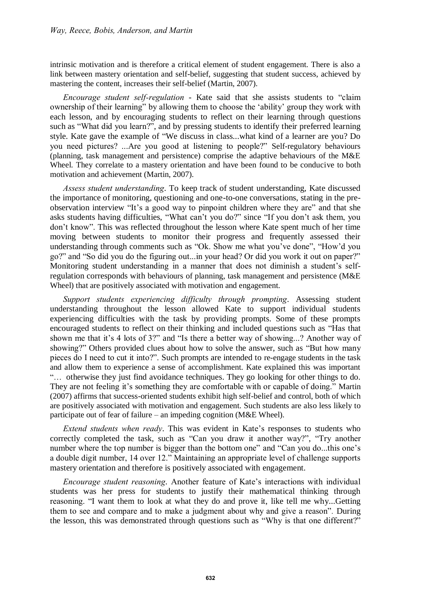intrinsic motivation and is therefore a critical element of student engagement. There is also a link between mastery orientation and self-belief, suggesting that student success, achieved by mastering the content, increases their self-belief (Martin, 2007).

*Encourage student self-regulation* - Kate said that she assists students to "claim ownership of their learning" by allowing them to choose the 'ability' group they work with each lesson, and by encouraging students to reflect on their learning through questions such as "What did you learn?", and by pressing students to identify their preferred learning style. Kate gave the example of "We discuss in class...what kind of a learner are you? Do you need pictures? ...Are you good at listening to people?" Self-regulatory behaviours (planning, task management and persistence) comprise the adaptive behaviours of the M&E Wheel. They correlate to a mastery orientation and have been found to be conducive to both motivation and achievement (Martin, 2007).

*Assess student understanding*. To keep track of student understanding, Kate discussed the importance of monitoring, questioning and one-to-one conversations, stating in the preobservation interview "It's a good way to pinpoint children where they are" and that she asks students having difficulties, "What can't you do?" since "If you don't ask them, you don't know". This was reflected throughout the lesson where Kate spent much of her time moving between students to monitor their progress and frequently assessed their understanding through comments such as "Ok. Show me what you've done", "How'd you go?" and "So did you do the figuring out...in your head? Or did you work it out on paper?" Monitoring student understanding in a manner that does not diminish a student's selfregulation corresponds with behaviours of planning, task management and persistence (M&E Wheel) that are positively associated with motivation and engagement.

*Support students experiencing difficulty through prompting*. Assessing student understanding throughout the lesson allowed Kate to support individual students experiencing difficulties with the task by providing prompts. Some of these prompts encouraged students to reflect on their thinking and included questions such as "Has that shown me that it's 4 lots of 3?" and "Is there a better way of showing...? Another way of showing?" Others provided clues about how to solve the answer, such as "But how many pieces do I need to cut it into?". Such prompts are intended to re-engage students in the task and allow them to experience a sense of accomplishment. Kate explained this was important "… otherwise they just find avoidance techniques. They go looking for other things to do. They are not feeling it's something they are comfortable with or capable of doing." Martin (2007) affirms that success-oriented students exhibit high self-belief and control, both of which are positively associated with motivation and engagement. Such students are also less likely to participate out of fear of failure – an impeding cognition (M&E Wheel).

*Extend students when ready*. This was evident in Kate's responses to students who correctly completed the task, such as "Can you draw it another way?", "Try another number where the top number is bigger than the bottom one" and "Can you do...this one's a double digit number, 14 over 12." Maintaining an appropriate level of challenge supports mastery orientation and therefore is positively associated with engagement.

*Encourage student reasoning*. Another feature of Kate's interactions with individual students was her press for students to justify their mathematical thinking through reasoning. "I want them to look at what they do and prove it, like tell me why...Getting them to see and compare and to make a judgment about why and give a reason"*.* During the lesson, this was demonstrated through questions such as "Why is that one different?"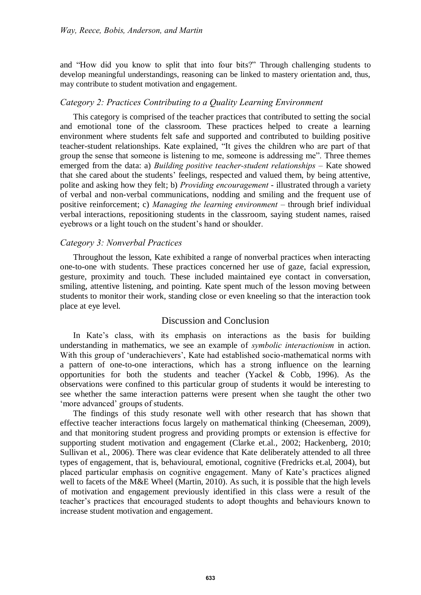and "How did you know to split that into four bits?" Through challenging students to develop meaningful understandings, reasoning can be linked to mastery orientation and, thus, may contribute to student motivation and engagement.

#### *Category 2: Practices Contributing to a Quality Learning Environment*

This category is comprised of the teacher practices that contributed to setting the social and emotional tone of the classroom. These practices helped to create a learning environment where students felt safe and supported and contributed to building positive teacher-student relationships. Kate explained, "It gives the children who are part of that group the sense that someone is listening to me, someone is addressing me". Three themes emerged from the data: a) *Building positive teacher-student relationships* – Kate showed that she cared about the students' feelings, respected and valued them, by being attentive, polite and asking how they felt; b) *Providing encouragement* - illustrated through a variety of verbal and non-verbal communications, nodding and smiling and the frequent use of positive reinforcement; c) *Managing the learning environment* – through brief individual verbal interactions, repositioning students in the classroom, saying student names, raised eyebrows or a light touch on the student's hand or shoulder.

#### *Category 3: Nonverbal Practices*

Throughout the lesson, Kate exhibited a range of nonverbal practices when interacting one-to-one with students. These practices concerned her use of gaze, facial expression, gesture, proximity and touch. These included maintained eye contact in conversation, smiling, attentive listening, and pointing. Kate spent much of the lesson moving between students to monitor their work, standing close or even kneeling so that the interaction took place at eye level.

# Discussion and Conclusion

In Kate's class, with its emphasis on interactions as the basis for building understanding in mathematics, we see an example of *symbolic interactionism* in action. With this group of 'underachievers', Kate had established socio-mathematical norms with a pattern of one-to-one interactions, which has a strong influence on the learning opportunities for both the students and teacher (Yackel & Cobb, 1996). As the observations were confined to this particular group of students it would be interesting to see whether the same interaction patterns were present when she taught the other two 'more advanced' groups of students.

The findings of this study resonate well with other research that has shown that effective teacher interactions focus largely on mathematical thinking (Cheeseman, 2009), and that monitoring student progress and providing prompts or extension is effective for supporting student motivation and engagement (Clarke et.al., 2002; Hackenberg, 2010; Sullivan et al., 2006). There was clear evidence that Kate deliberately attended to all three types of engagement, that is, behavioural, emotional, cognitive (Fredricks et.al, 2004), but placed particular emphasis on cognitive engagement. Many of Kate's practices aligned well to facets of the M&E Wheel (Martin, 2010). As such, it is possible that the high levels of motivation and engagement previously identified in this class were a result of the teacher's practices that encouraged students to adopt thoughts and behaviours known to increase student motivation and engagement.